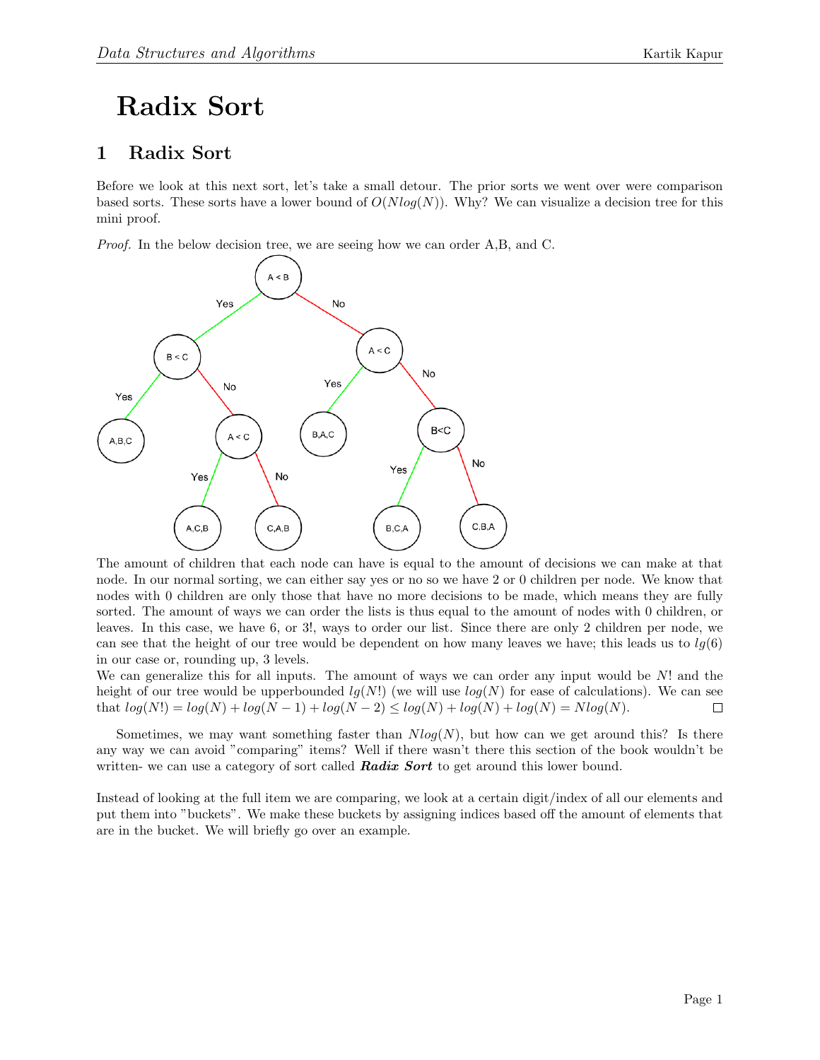## Radix Sort

## 1 Radix Sort

Before we look at this next sort, let's take a small detour. The prior sorts we went over were comparison based sorts. These sorts have a lower bound of  $O(Nlog(N))$ . Why? We can visualize a decision tree for this mini proof.

Proof. In the below decision tree, we are seeing how we can order A,B, and C.



The amount of children that each node can have is equal to the amount of decisions we can make at that node. In our normal sorting, we can either say yes or no so we have 2 or 0 children per node. We know that nodes with 0 children are only those that have no more decisions to be made, which means they are fully sorted. The amount of ways we can order the lists is thus equal to the amount of nodes with 0 children, or leaves. In this case, we have 6, or 3!, ways to order our list. Since there are only 2 children per node, we can see that the height of our tree would be dependent on how many leaves we have; this leads us to  $lg(6)$ in our case or, rounding up, 3 levels.

We can generalize this for all inputs. The amount of ways we can order any input would be  $N!$  and the height of our tree would be upperbounded  $lg(N!)$  (we will use  $log(N)$  for ease of calculations). We can see that  $log(N!) = log(N) + log(N - 1) + log(N - 2) \le log(N) + log(N) + log(N) = Nlog(N)$ .  $\Box$ 

Sometimes, we may want something faster than  $Nlog(N)$ , but how can we get around this? Is there any way we can avoid "comparing" items? Well if there wasn't there this section of the book wouldn't be written- we can use a category of sort called **Radix Sort** to get around this lower bound.

Instead of looking at the full item we are comparing, we look at a certain digit/index of all our elements and put them into "buckets". We make these buckets by assigning indices based off the amount of elements that are in the bucket. We will briefly go over an example.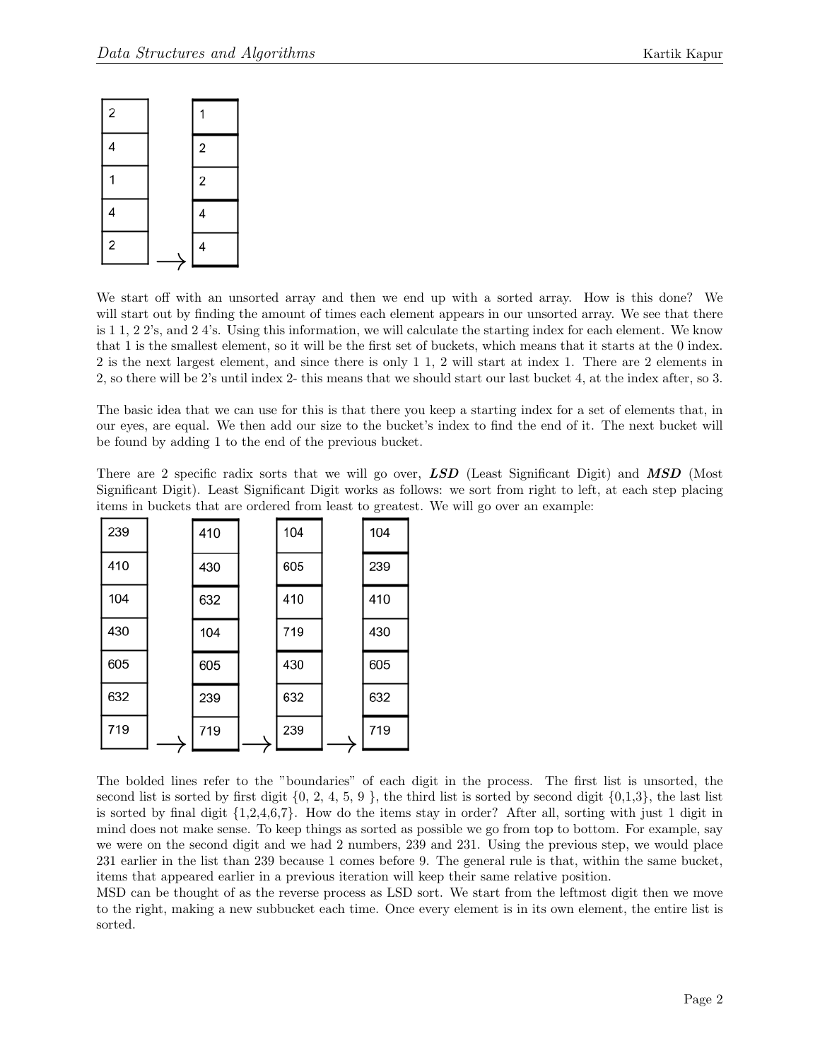

We start off with an unsorted array and then we end up with a sorted array. How is this done? We will start out by finding the amount of times each element appears in our unsorted array. We see that there is 1 1, 2 2's, and 2 4's. Using this information, we will calculate the starting index for each element. We know that 1 is the smallest element, so it will be the first set of buckets, which means that it starts at the 0 index. 2 is the next largest element, and since there is only 1 1, 2 will start at index 1. There are 2 elements in 2, so there will be 2's until index 2- this means that we should start our last bucket 4, at the index after, so 3.

The basic idea that we can use for this is that there you keep a starting index for a set of elements that, in our eyes, are equal. We then add our size to the bucket's index to find the end of it. The next bucket will be found by adding 1 to the end of the previous bucket.

There are 2 specific radix sorts that we will go over, **LSD** (Least Significant Digit) and **MSD** (Most Significant Digit). Least Significant Digit works as follows: we sort from right to left, at each step placing items in buckets that are ordered from least to greatest. We will go over an example:

| 239 | 410 | 104 | 104 |
|-----|-----|-----|-----|
| 410 | 430 | 605 | 239 |
| 104 | 632 | 410 | 410 |
| 430 | 104 | 719 | 430 |
| 605 | 605 | 430 | 605 |
| 632 | 239 | 632 | 632 |
| 719 | 719 | 239 | 719 |

The bolded lines refer to the "boundaries" of each digit in the process. The first list is unsorted, the second list is sorted by first digit  $\{0, 2, 4, 5, 9\}$ , the third list is sorted by second digit  $\{0,1,3\}$ , the last list is sorted by final digit {1,2,4,6,7}. How do the items stay in order? After all, sorting with just 1 digit in mind does not make sense. To keep things as sorted as possible we go from top to bottom. For example, say we were on the second digit and we had 2 numbers, 239 and 231. Using the previous step, we would place 231 earlier in the list than 239 because 1 comes before 9. The general rule is that, within the same bucket, items that appeared earlier in a previous iteration will keep their same relative position.

MSD can be thought of as the reverse process as LSD sort. We start from the leftmost digit then we move to the right, making a new subbucket each time. Once every element is in its own element, the entire list is sorted.